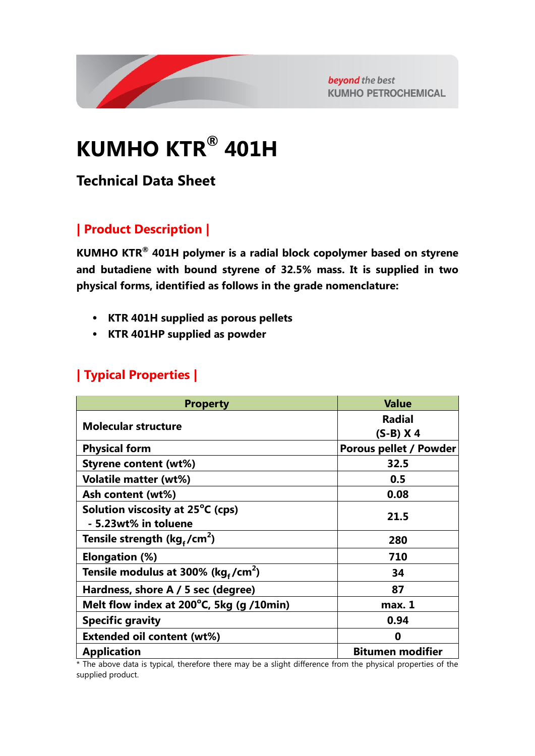

beyond the best **KUMHO PETROCHEMICAL** 

# **KUMHO KTR® 401H**

## **Technical Data Sheet**

## **| Product Description |**

**KUMHO KTR® 401H polymer is a radial block copolymer based on styrene and butadiene with bound styrene of 32.5% mass. It is supplied in two physical forms, identified as follows in the grade nomenclature:**

- **KTR 401H supplied as porous pellets**
- **KTR 401HP supplied as powder**

### **| Typical Properties |**

| <b>Property</b>                                | <b>Value</b>                  |
|------------------------------------------------|-------------------------------|
| <b>Molecular structure</b>                     | <b>Radial</b>                 |
|                                                | $(S-B)$ X 4                   |
| <b>Physical form</b>                           | <b>Porous pellet / Powder</b> |
| <b>Styrene content (wt%)</b>                   | 32.5                          |
| <b>Volatile matter (wt%)</b>                   | 0.5                           |
| Ash content (wt%)                              | 0.08                          |
| Solution viscosity at 25°C (cps)               | 21.5                          |
| - 5.23wt% in toluene                           |                               |
| Tensile strength ( $kg_f/cm^2$ )               | 280                           |
| Elongation (%)                                 | 710                           |
| Tensile modulus at 300% (kg,/cm <sup>2</sup> ) | 34                            |
| Hardness, shore A / 5 sec (degree)             | 87                            |
| Melt flow index at 200°C, 5kg (g /10min)       | max. 1                        |
| <b>Specific gravity</b>                        | 0.94                          |
| <b>Extended oil content (wt%)</b>              | 0                             |
| <b>Application</b>                             | <b>Bitumen modifier</b>       |

\* The above data is typical, therefore there may be a slight difference from the physical properties of the supplied product.